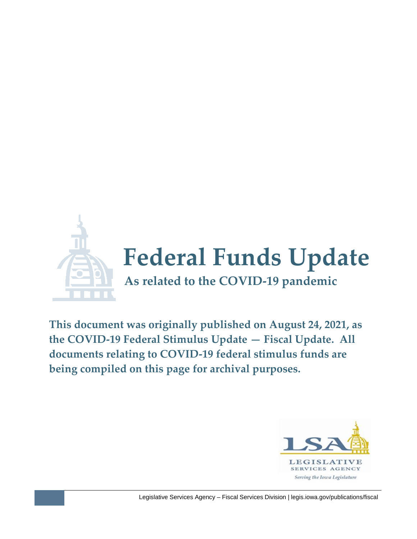

**This document was originally published on August 24, 2021, as the COVID-19 Federal Stimulus Update — Fiscal Update. All documents relating to COVID-19 federal stimulus funds are being compiled on this page for archival purposes.**

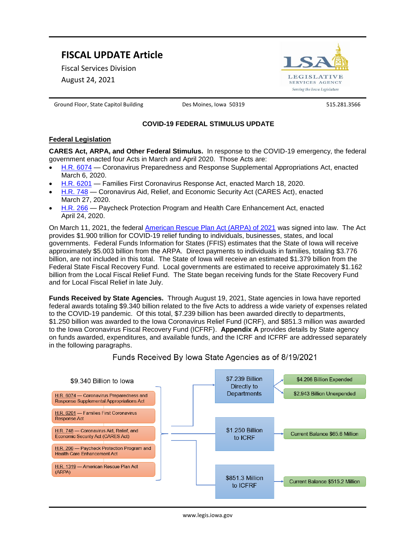# **FISCAL UPDATE Article**

Fiscal Services Division

August 24, 2021

Ground Floor, State Capitol Building **Des Moines, Iowa 50319** 515.281.3566

**LEGISLATIVE** SERVICES AGENCY Serving the Iowa Legislature

# **COVID-19 FEDERAL STIMULUS UPDATE**

## **Federal Legislation**

**CARES Act, ARPA, and Other Federal Stimulus.** In response to the COVID-19 emergency, the federal government enacted four Acts in March and April 2020. Those Acts are:

- [H.R. 6074](https://www.congress.gov/116/plaws/publ123/PLAW-116publ123.pdf) Coronavirus Preparedness and Response Supplemental Appropriations Act, enacted March 6, 2020.
- [H.R. 6201](https://www.congress.gov/116/bills/hr6201/BILLS-116hr6201enr.pdf) Families First Coronavirus Response Act, enacted March 18, 2020.
- [H.R. 748](https://www.congress.gov/116/bills/hr748/BILLS-116hr748enr.pdf) Coronavirus Aid, Relief, and Economic Security Act (CARES Act), enacted March 27, 2020.
- [H.R. 266](https://www.congress.gov/116/bills/hr266/BILLS-116hr266enr.pdf) Paycheck Protection Program and Health Care Enhancement Act, enacted April 24, 2020.

On March 11, 2021, the federal [American Rescue Plan Act \(ARPA\) of 2021](https://www.congress.gov/bill/117th-congress/house-bill/1319/text) was signed into law. The Act provides \$1.900 trillion for COVID-19 relief funding to individuals, businesses, states, and local governments. Federal Funds Information for States (FFIS) estimates that the State of Iowa will receive approximately \$5.003 billion from the ARPA. Direct payments to individuals in families, totaling \$3.776 billion, are not included in this total. The State of Iowa will receive an estimated \$1.379 billion from the Federal State Fiscal Recovery Fund. Local governments are estimated to receive approximately \$1.162 billion from the Local Fiscal Relief Fund. The State began receiving funds for the State Recovery Fund and for Local Fiscal Relief in late July.

**Funds Received by State Agencies.** Through August 19, 2021, State agencies in Iowa have reported federal awards totaling \$9.340 billion related to the five Acts to address a wide variety of expenses related to the COVID-19 pandemic. Of this total, \$7.239 billion has been awarded directly to departments, \$1.250 billion was awarded to the Iowa Coronavirus Relief Fund (ICRF), and \$851.3 million was awarded to the Iowa Coronavirus Fiscal Recovery Fund (ICFRF). **Appendix A** provides details by State agency on funds awarded, expenditures, and available funds, and the ICRF and ICFRF are addressed separately in the following paragraphs.



# Funds Received By Iowa State Agencies as of 8/19/2021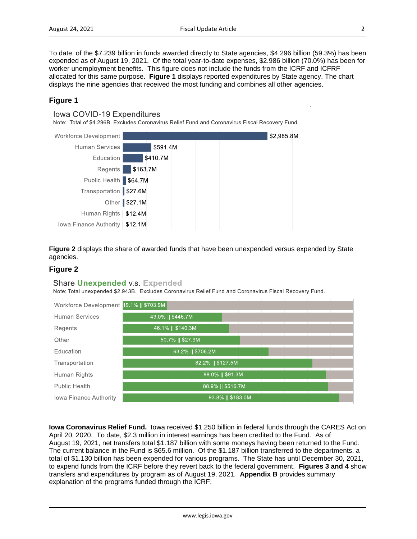To date, of the \$7.239 billion in funds awarded directly to State agencies, \$4.296 billion (59.3%) has been expended as of August 19, 2021. Of the total year-to-date expenses, \$2.986 billion (70.0%) has been for worker unemployment benefits. This figure does not include the funds from the ICRF and ICFRF allocated for this same purpose. **Figure 1** displays reported expenditures by State agency. The chart displays the nine agencies that received the most funding and combines all other agencies.

# **Figure 1**

### lowa COVID-19 Expenditures

Note: Total of \$4.296B. Excludes Coronavirus Relief Fund and Coronavirus Fiscal Recovery Fund.

| Workforce Development  |                 |  | \$2,985.8M |
|------------------------|-----------------|--|------------|
| Human Services         | \$591.4M        |  |            |
| Education              | \$410.7M        |  |            |
| Regents                | \$163.7M        |  |            |
| Public Health \$64.7M  |                 |  |            |
| Transportation \$27.6M |                 |  |            |
|                        | Other   \$27.1M |  |            |
| Human Rights   \$12.4M |                 |  |            |
| Iowa Finance Authority | \$12.1M         |  |            |

**Figure 2** displays the share of awarded funds that have been unexpended versus expended by State agencies.

## **Figure 2**

### Share Unexpended v.s. Expended

Note: Total unexpended \$2.943B. Excludes Coronavirus Relief Fund and Coronavirus Fiscal Recovery Fund.



**Iowa Coronavirus Relief Fund.** Iowa received \$1.250 billion in federal funds through the CARES Act on April 20, 2020. To date, \$2.3 million in interest earnings has been credited to the Fund. As of August 19, 2021, net transfers total \$1.187 billion with some moneys having been returned to the Fund. The current balance in the Fund is \$65.6 million. Of the \$1.187 billion transferred to the departments, a total of \$1.130 billion has been expended for various programs. The State has until December 30, 2021, to expend funds from the ICRF before they revert back to the federal government. **Figures 3 and 4** show transfers and expenditures by program as of August 19, 2021. **Appendix B** provides summary explanation of the programs funded through the ICRF.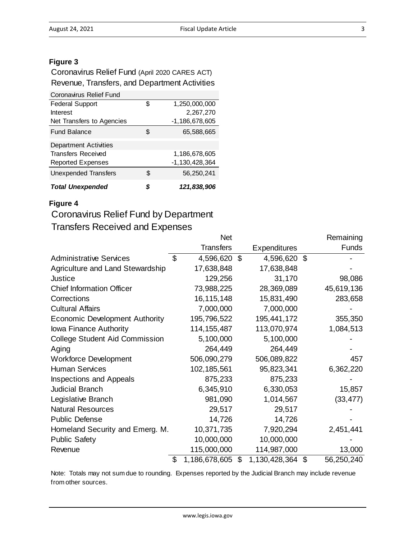# **Figure 3**

# Revenue, Transfers, and Department Activities Coronavirus Relief Fund (April 2020 CARES ACT)

| Coronavirus Relief Fund      |    |                     |
|------------------------------|----|---------------------|
| <b>Federal Support</b>       | \$ | 1,250,000,000       |
| Interest                     |    | 2,267,270           |
| Net Transfers to Agencies    |    | $-1, 186, 678, 605$ |
| <b>Fund Balance</b>          | S  | 65,588,665          |
| <b>Department Activities</b> |    |                     |
| <b>Transfers Received</b>    |    | 1,186,678,605       |
| <b>Reported Expenses</b>     |    | $-1, 130, 428, 364$ |
| <b>Unexpended Transfers</b>  | \$ | 56,250,241          |
| <b>Total Unexpended</b>      | S  | 121,838,906         |

# **Figure 4**

# Coronavirus Relief Fund by Department

# Transfers Received and Expenses

|                                       |               | <b>Net</b>       |                     | Remaining        |
|---------------------------------------|---------------|------------------|---------------------|------------------|
|                                       |               | <b>Transfers</b> | <b>Expenditures</b> | <b>Funds</b>     |
| <b>Administrative Services</b>        | $\mathcal{S}$ | 4,596,620 \$     | 4,596,620 \$        |                  |
| Agriculture and Land Stewardship      |               | 17,638,848       | 17,638,848          |                  |
| Justice                               |               | 129,256          | 31,170              | 98,086           |
| <b>Chief Information Officer</b>      |               | 73,988,225       | 28,369,089          | 45,619,136       |
| Corrections                           |               | 16, 115, 148     | 15,831,490          | 283,658          |
| <b>Cultural Affairs</b>               |               | 7,000,000        | 7,000,000           |                  |
| <b>Economic Development Authority</b> |               | 195,796,522      | 195,441,172         | 355,350          |
| Iowa Finance Authority                |               | 114, 155, 487    | 113,070,974         | 1,084,513        |
| <b>College Student Aid Commission</b> |               | 5,100,000        | 5,100,000           |                  |
| Aging                                 |               | 264,449          | 264,449             |                  |
| <b>Workforce Development</b>          |               | 506,090,279      | 506,089,822         | 457              |
| <b>Human Services</b>                 |               | 102,185,561      | 95,823,341          | 6,362,220        |
| Inspections and Appeals               |               | 875,233          | 875,233             |                  |
| <b>Judicial Branch</b>                |               | 6,345,910        | 6,330,053           | 15,857           |
| Legislative Branch                    |               | 981,090          | 1,014,567           | (33, 477)        |
| <b>Natural Resources</b>              |               | 29,517           | 29,517              |                  |
| <b>Public Defense</b>                 |               | 14,726           | 14,726              |                  |
| Homeland Security and Emerg. M.       |               | 10,371,735       | 7,920,294           | 2,451,441        |
| <b>Public Safety</b>                  |               | 10,000,000       | 10,000,000          |                  |
| Revenue                               |               | 115,000,000      | 114,987,000         | 13,000           |
|                                       | \$            | 1,186,678,605    | \$<br>1,130,428,364 | \$<br>56,250,240 |

Note: Totals may not sum due to rounding. Expenses reported by the Judicial Branch may include revenue from other sources.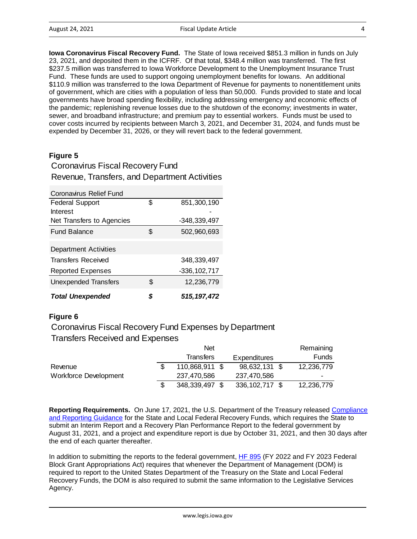**Iowa Coronavirus Fiscal Recovery Fund.** The State of Iowa received \$851.3 million in funds on July 23, 2021, and deposited them in the ICFRF. Of that total, \$348.4 million was transferred. The first \$237.5 million was transferred to Iowa Workforce Development to the Unemployment Insurance Trust Fund. These funds are used to support ongoing unemployment benefits for Iowans. An additional \$110.9 million was transferred to the Iowa Department of Revenue for payments to nonentitlement units of government, which are cities with a population of less than 50,000. Funds provided to state and local governments have broad spending flexibility, including addressing emergency and economic effects of the pandemic; replenishing revenue losses due to the shutdown of the economy; investments in water, sewer, and broadband infrastructure; and premium pay to essential workers. Funds must be used to cover costs incurred by recipients between March 3, 2021, and December 31, 2024, and funds must be expended by December 31, 2026, or they will revert back to the federal government.

# **Figure 5**

# Revenue, Transfers, and Department Activities Coronavirus Fiscal Recovery Fund

| Coronavirus Relief Fund      |                     |
|------------------------------|---------------------|
| <b>Federal Support</b>       | \$<br>851,300,190   |
| Interest                     |                     |
| Net Transfers to Agencies    | $-348,339,497$      |
| <b>Fund Balance</b>          | \$<br>502,960,693   |
| <b>Department Activities</b> |                     |
| <b>Transfers Received</b>    | 348, 339, 497       |
| <b>Reported Expenses</b>     | $-336, 102, 717$    |
| <b>Unexpended Transfers</b>  | \$<br>12,236,779    |
| <b>Total Unexpended</b>      | \$<br>515, 197, 472 |

# **Figure 6**

# Coronavirus Fiscal Recovery Fund Expenses by Department Transfers Received and Expenses

|                              | Net            |                     | Remaining  |
|------------------------------|----------------|---------------------|------------|
|                              | Transfers      | <b>Expenditures</b> | Funds      |
| Revenue                      | 110,868,911 \$ | 98,632,131 \$       | 12,236,779 |
| <b>Workforce Development</b> | 237.470.586    | 237.470.586         | -          |
|                              | 348,339,497    | 336, 102, 717 \$    | 12,236,779 |

**Reporting Requirements.** On June 17, 2021, the U.S. Department of the Treasury released [Compliance](https://home.treasury.gov/system/files/136/SLFRF-Compliance-and-Reporting-Guidance.pdf)  [and Reporting Guidance](https://home.treasury.gov/system/files/136/SLFRF-Compliance-and-Reporting-Guidance.pdf) for the State and Local Federal Recovery Funds, which requires the State to submit an Interim Report and a Recovery Plan Performance Report to the federal government by August 31, 2021, and a project and expenditure report is due by October 31, 2021, and then 30 days after the end of each quarter thereafter.

In addition to submitting the reports to the federal government, [HF 895](https://www.legis.iowa.gov/perma/081720217244) (FY 2022 and FY 2023 Federal Block Grant Appropriations Act) requires that whenever the Department of Management (DOM) is required to report to the United States Department of the Treasury on the State and Local Federal Recovery Funds, the DOM is also required to submit the same information to the Legislative Services Agency.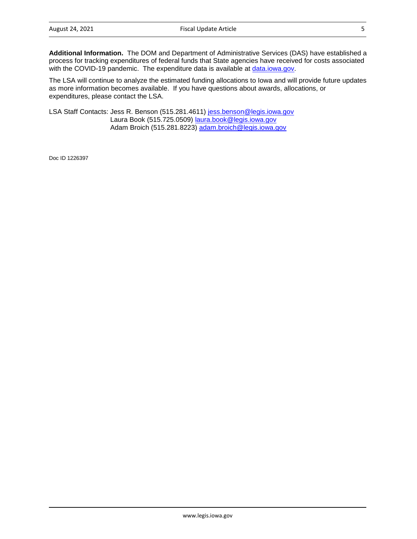**Additional Information.** The DOM and Department of Administrative Services (DAS) have established a process for tracking expenditures of federal funds that State agencies have received for costs associated with the COVID-19 pandemic. The expenditure data is available at [data.iowa.gov.](https://pandemic-recovery.iowa.gov/#!/dashboard)

The LSA will continue to analyze the estimated funding allocations to Iowa and will provide future updates as more information becomes available. If you have questions about awards, allocations, or expenditures, please contact the LSA.

LSA Staff Contacts: Jess R. Benson (515.281.4611) [jess.benson@legis.iowa.gov](mailto:jess.benson@legis.iowa.gov) Laura Book (515.725.0509) [laura.book@legis.iowa.gov](mailto:laura.book@legis.iowa.gov) Adam Broich (515.281.8223) [adam.broich@legis.iowa.gov](mailto:adam.broich@legis.iowa.gov)

Doc ID 1226397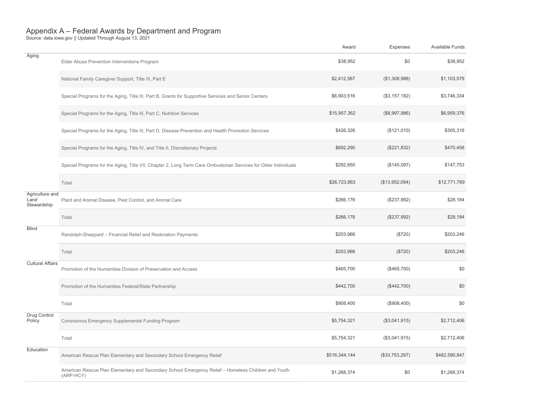|                                        |                                                                                                                  | Award         | Expenses        | Available Funds |
|----------------------------------------|------------------------------------------------------------------------------------------------------------------|---------------|-----------------|-----------------|
| Aging                                  | Elder Abuse Prevention Interventions Program                                                                     | \$38,952      | \$0             | \$38,952        |
|                                        | National Family Caregiver Support, Title III, Part E                                                             | \$2,412,567   | (\$1,308,988)   | \$1,103,579     |
|                                        | Special Programs for the Aging, Title III, Part B, Grants for Supportive Services and Senior Centers             | \$6,903,516   | (\$3, 157, 182) | \$3,746,334     |
|                                        | Special Programs for the Aging, Title III, Part C, Nutrition Services                                            | \$15,957,362  | (\$8,997,986)   | \$6,959,376     |
|                                        | Special Programs for the Aging, Title III, Part D, Disease Prevention and Health Promotion Services              | \$426,326     | (\$121,010)     | \$305,316       |
|                                        | Special Programs for the Aging, Title IV, and Title II, Discretionary Projects                                   | \$692,290     | (\$221,832)     | \$470,458       |
|                                        | Special Programs for the Aging, Title VII, Chapter 2, Long Term Care Ombudsman Services for Older Individuals    | \$292,850     | (\$145,097)     | \$147,753       |
|                                        | Total                                                                                                            | \$26,723,863  | (\$13,952,094)  | \$12,771,769    |
| Agriculture and<br>Land<br>Stewardship | Plant and Animal Disease, Pest Control, and Animal Care                                                          | \$266,176     | (\$237,992)     | \$28,184        |
|                                        | Total                                                                                                            | \$266,176     | (\$237,992)     | \$28,184        |
| Blind                                  | Randolph-Sheppard - Financial Relief and Restoration Payments                                                    | \$203,966     | (\$720)         | \$203,246       |
|                                        | Total                                                                                                            | \$203,966     | (\$720)         | \$203,246       |
| <b>Cultural Affairs</b>                | Promotion of the Humanities Division of Preservation and Access                                                  | \$465,700     | (\$465,700)     | \$0             |
|                                        | Promotion of the Humanities Federal/State Partnership                                                            | \$442,700     | (\$442,700)     | \$0             |
|                                        | Total                                                                                                            | \$908,400     | (\$908,400)     | \$0             |
| Drug Control<br>Policy                 | Coronavirus Emergency Supplemental Funding Program                                                               | \$5,754,321   | (\$3,041,915)   | \$2,712,406     |
|                                        | Total                                                                                                            | \$5,754,321   | (\$3,041,915)   | \$2,712,406     |
| Education                              | American Rescue Plan Elementary and Secondary School Emergency Relief                                            | \$516,344,144 | (\$33,753,297)  | \$482,590,847   |
|                                        | American Rescue Plan Elementary and Secondary School Emergency Relief - Homeless Children and Youth<br>(ARP-HCY) | \$1,268,374   | \$0             | \$1,268,374     |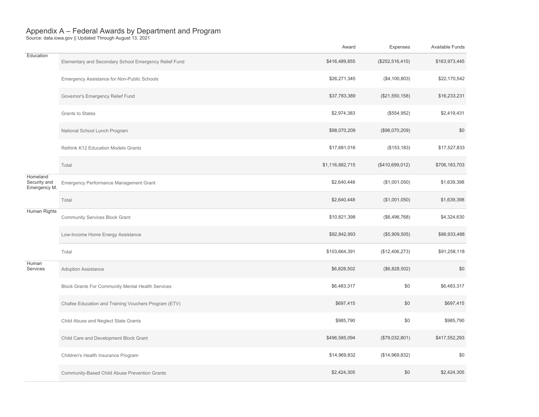|                                          |                                                       | Award           | Expenses        | Available Funds |
|------------------------------------------|-------------------------------------------------------|-----------------|-----------------|-----------------|
| Education                                | Elementary and Secondary School Emergency Relief Fund | \$416,489,855   | (\$252,516,410) | \$163,973,445   |
|                                          | Emergency Assistance for Non-Public Schools           | \$26,271,345    | (\$4,100,803)   | \$22,170,542    |
|                                          | Governor's Emergency Relief Fund                      | \$37,783,389    | (\$21,550,158)  | \$16,233,231    |
|                                          | <b>Grants to States</b>                               | \$2,974,383     | (\$554,952)     | \$2,419,431     |
|                                          | National School Lunch Program                         | \$98,070,209    | (\$98,070,209)  | \$0             |
|                                          | Rethink K12 Education Models Grants                   | \$17,681,016    | (\$153, 183)    | \$17,527,833    |
|                                          | Total                                                 | \$1,116,882,715 | (\$410,699,012) | \$706,183,703   |
| Homeland<br>Security and<br>Emergency M. | Emergency Performance Management Grant                | \$2,640,448     | (\$1,001,050)   | \$1,639,398     |
|                                          | Total                                                 | \$2,640,448     | (\$1,001,050)   | \$1,639,398     |
| Human Rights                             | <b>Community Services Block Grant</b>                 | \$10,821,398    | (\$6,496,768)   | \$4,324,630     |
|                                          | Low-Income Home Energy Assistance                     | \$92,842,993    | (\$5,909,505)   | \$86,933,488    |
|                                          | Total                                                 | \$103,664,391   | (\$12,406,273)  | \$91,258,118    |
| Human<br>Services                        | <b>Adoption Assistance</b>                            | \$6,828,502     | (\$6,828,502)   | \$0             |
|                                          | Block Grants For Community Mental Health Services     | \$6,483,317     | \$0             | \$6,483,317     |
|                                          | Chafee Education and Training Vouchers Program (ETV)  | \$697,415       | \$0             | \$697,415       |
|                                          | Child Abuse and Neglect State Grants                  | \$985,790       | \$0             | \$985,790       |
|                                          | Child Care and Development Block Grant                | \$496,585,094   | (\$79,032,801)  | \$417,552,293   |
|                                          | Children's Health Insurance Program                   | \$14,969,832    | (\$14,969,832)  | \$0             |
|                                          | Community-Based Child Abuse Prevention Grants         | \$2,424,305     | \$0             | \$2,424,305     |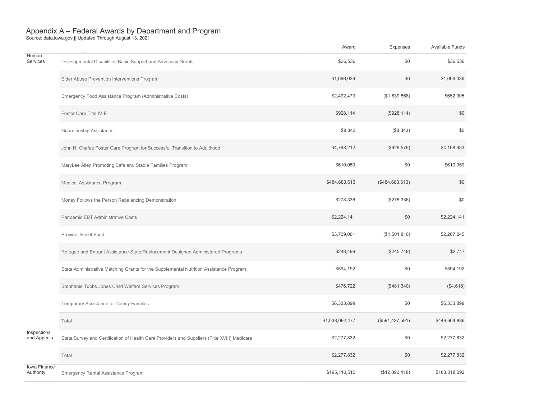|                            |                                                                                              | Award           | Expenses        | <b>Available Funds</b> |
|----------------------------|----------------------------------------------------------------------------------------------|-----------------|-----------------|------------------------|
| Human<br>Services          | Developmental Disabilities Basic Support and Advocacy Grants                                 | \$36,536        | \$0             | \$36,536               |
|                            | Elder Abuse Prevention Interventions Program                                                 | \$1,696,036     | \$0             | \$1,696,036            |
|                            | Emergency Food Assistance Program (Administrative Costs)                                     | \$2,492,473     | (\$1,839,568)   | \$652,905              |
|                            | Foster Care Title IV-E                                                                       | \$928,114       | (\$928, 114)    | \$0                    |
|                            | Guardianship Assistance                                                                      | \$8,343         | (\$8,343)       | \$0                    |
|                            | John H. Chafee Foster Care Program for Successful Transition to Adulthood                    | \$4,798,212     | (\$629,579)     | \$4,168,633            |
|                            | MaryLee Allen Promoting Safe and Stable Families Program                                     | \$610,050       | \$0             | \$610,050              |
|                            | Medical Assistance Program                                                                   | \$484,683,613   | (\$484,683,613) | \$0                    |
|                            | Money Follows the Person Rebalancing Demonstration                                           | \$278,336       | (\$278,336)     | \$0                    |
|                            | Pandemic EBT Administrative Costs                                                            | \$2,224.141     | \$0             | \$2,224,141            |
|                            | Provider Relief Fund                                                                         | \$3,709,061     | (\$1,501,816)   | \$2,207,245            |
|                            | Refugee and Entrant Assistance State/Replacement Designee Administered Programs              | \$248,496       | (\$245,749)     | \$2,747                |
|                            | State Administrative Matching Grants for the Supplemental Nutrition Assistance Program       | \$594,192       | \$0             | \$594,192              |
|                            | Stephanie Tubbs Jones Child Welfare Services Program                                         | \$476.722       | (\$481,340)     | (\$4,618)              |
|                            | Temporary Assistance for Needy Families                                                      | \$6,333,899     | \$0             | \$6,333,899            |
|                            | Total                                                                                        | \$1,038,092,477 | (\$591,427,591) | \$446,664,886          |
| Inspections<br>and Appeals | State Survey and Certification of Health Care Providers and Suppliers (Title XVIII) Medicare | \$2,277,832     | \$0             | \$2,277,832            |
|                            | Total                                                                                        | \$2,277,832     | \$0             | \$2,277,832            |
| Iowa Finance<br>Authority  | Emergency Rental Assistance Program                                                          | \$195,110,510   | (\$12,092,418)  | \$183,018,092          |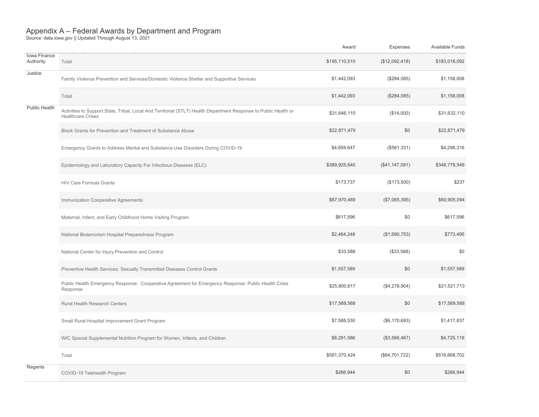|                           |                                                                                                                                              | Award         | Expenses       | Available Funds |
|---------------------------|----------------------------------------------------------------------------------------------------------------------------------------------|---------------|----------------|-----------------|
| Iowa Finance<br>Authority | Total                                                                                                                                        | \$195,110,510 | (\$12,092,418) | \$183,018,092   |
| Justice                   | Family Violence Prevention and Services/Domestic Violence Shelter and Supportive Services                                                    | \$1,442,093   | (\$284,085)    | \$1,158,008     |
|                           | Total                                                                                                                                        | \$1,442,093   | (\$284,085)    | \$1,158,008     |
| Public Health             | Activities to Support State, Tribal, Local And Territorial (STLT) Health Department Response to Public Health or<br><b>Healthcare Crises</b> | \$31,646,110  | (\$14,000)     | \$31,632,110    |
|                           | Block Grants for Prevention and Treatment of Substance Abuse                                                                                 | \$22,871,479  | \$0            | \$22,871,479    |
|                           | Emergency Grants to Address Mental and Substance Use Disorders During COVID-19                                                               | \$4,859,647   | (\$561,331)    | \$4,298,316     |
|                           | Epidemiology and Laboratory Capacity For Infectious Diseases (ELC)                                                                           | \$389,925,640 | (\$41,147,091) | \$348,778,549   |
|                           | <b>HIV Care Formula Grants</b>                                                                                                               | \$173,737     | (\$173,500)    | \$237           |
|                           | Immunization Cooperative Agreements                                                                                                          | \$67,970,489  | (\$7,065,395)  | \$60,905,094    |
|                           | Maternal, Infant, and Early Childhood Home Visiting Program                                                                                  | \$617,596     | \$0            | \$617,596       |
|                           | National Bioterrorism Hospital Preparedness Program                                                                                          | \$2,464,248   | (\$1,690,753)  | \$773,495       |
|                           | National Center for Injury Prevention and Control                                                                                            | \$33,588      | (\$33,588)     | \$0             |
|                           | Preventive Health Services: Sexually Transmitted Diseases Control Grants                                                                     | \$1,557,589   | \$0            | \$1,557,589     |
|                           | Public Health Emergency Response: Cooperative Agreement for Emergency Response: Public Health Crisis<br>Response                             | \$25,800,617  | (\$4,278,904)  | \$21,521,713    |
|                           | Rural Health Research Centers                                                                                                                | \$17,569,568  | \$0            | \$17,569,568    |
|                           | Small Rural Hospital Improvement Grant Program                                                                                               | \$7,588,530   | (\$6,170,693)  | \$1,417,837     |
|                           | WIC Special Supplemental Nutrition Program for Women, Infants, and Children                                                                  | \$8,291,586   | (\$3,566,467)  | \$4,725,119     |
|                           | Total                                                                                                                                        | \$581,370,424 | (\$64,701,722) | \$516,668,702   |
| Regents                   | COVID-19 Telehealth Program                                                                                                                  | \$266,944     | \$0            | \$266,944       |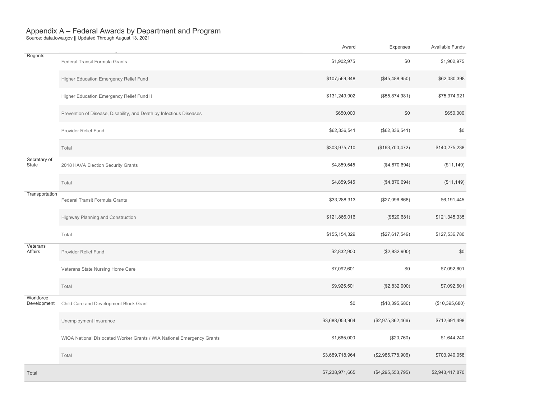|                          |                                                                        | Award           | Expenses          | Available Funds |
|--------------------------|------------------------------------------------------------------------|-----------------|-------------------|-----------------|
| Regents                  | Federal Transit Formula Grants                                         | \$1,902,975     | \$0               | \$1,902,975     |
|                          | Higher Education Emergency Relief Fund                                 | \$107,569,348   | (\$45,488,950)    | \$62,080,398    |
|                          | Higher Education Emergency Relief Fund II                              | \$131,249,902   | (\$55,874,981)    | \$75,374,921    |
|                          | Prevention of Disease, Disability, and Death by Infectious Diseases    | \$650,000       | \$0               | \$650,000       |
|                          | Provider Relief Fund                                                   | \$62,336,541    | (\$62,336,541)    | \$0             |
|                          | Total                                                                  | \$303,975,710   | (\$163,700,472)   | \$140,275,238   |
| Secretary of<br>State    | 2018 HAVA Election Security Grants                                     | \$4,859,545     | (\$4,870,694)     | (\$11,149)      |
|                          | Total                                                                  | \$4,859,545     | (\$4,870,694)     | (\$11,149)      |
| Transportation           | Federal Transit Formula Grants                                         | \$33,288,313    | (\$27,096,868)    | \$6,191,445     |
|                          | Highway Planning and Construction                                      | \$121,866,016   | (\$520,681)       | \$121,345,335   |
|                          | Total                                                                  | \$155,154,329   | (\$27,617,549)    | \$127,536,780   |
| Veterans<br>Affairs      | Provider Relief Fund                                                   | \$2,832,900     | (\$2,832,900)     | \$0             |
|                          | Veterans State Nursing Home Care                                       | \$7,092,601     | \$0               | \$7,092,601     |
|                          | Total                                                                  | \$9,925,501     | (\$2,832,900)     | \$7,092,601     |
| Workforce<br>Development | Child Care and Development Block Grant                                 | \$0             | (\$10,395,680)    | (\$10,395,680)  |
|                          | Unemployment Insurance                                                 | \$3,688,053,964 | (\$2,975,362,466) | \$712,691,498   |
|                          | WIOA National Dislocated Worker Grants / WIA National Emergency Grants | \$1,665,000     | (\$20,760)        | \$1,644,240     |
|                          | Total                                                                  | \$3,689,718,964 | (\$2,985,778,906) | \$703,940,058   |
| Total                    |                                                                        | \$7,238,971,665 | (\$4,295,553,795) | \$2,943,417,870 |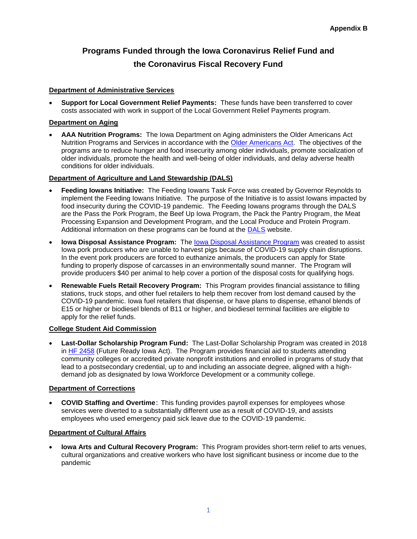# **Programs Funded through the Iowa Coronavirus Relief Fund and the Coronavirus Fiscal Recovery Fund**

# **Department of Administrative Services**

• **Support for Local Government Relief Payments:** These funds have been transferred to cover costs associated with work in support of the Local Government Relief Payments program.

## **Department on Aging**

• **AAA Nutrition Programs:** The Iowa Department on Aging administers the Older Americans Act Nutrition Programs and Services in accordance with the [Older Americans Act.](https://www.ncoa.org/public-policy-action/older-americans-act/) The objectives of the programs are to reduce hunger and food insecurity among older individuals, promote socialization of older individuals, promote the health and well-being of older individuals, and delay adverse health conditions for older individuals.

### **Department of Agriculture and Land Stewardship (DALS)**

- **Feeding Iowans Initiative:** The Feeding Iowans Task Force was created by Governor Reynolds to implement the Feeding Iowans Initiative. The purpose of the Initiative is to assist Iowans impacted by food insecurity during the COVID-19 pandemic.The Feeding Iowans programs through the DALS are the Pass the Pork Program, the Beef Up Iowa Program, the Pack the Pantry Program, the Meat Processing Expansion and Development Program, and the Local Produce and Protein Program. Additional information on these programs can be found at the [DALS](https://iowaagriculture.gov/) website.
- **Iowa Disposal Assistance Program:** The [Iowa Disposal Assistance Program](https://iowaagriculture.gov/idap) was created to assist Iowa pork producers who are unable to harvest pigs because of COVID-19 supply chain disruptions. In the event pork producers are forced to euthanize animals, the producers can apply for State funding to properly dispose of carcasses in an environmentally sound manner. The Program will provide producers \$40 per animal to help cover a portion of the disposal costs for qualifying hogs.
- **Renewable Fuels Retail Recovery Program:** This Program provides financial assistance to filling stations, truck stops, and other fuel retailers to help them recover from lost demand caused by the COVID-19 pandemic. Iowa fuel retailers that dispense, or have plans to dispense, ethanol blends of E15 or higher or biodiesel blends of B11 or higher, and biodiesel terminal facilities are eligible to apply for the relief funds.

### **College Student Aid Commission**

• **Last-Dollar Scholarship Program Fund:** The Last-Dollar Scholarship Program was created in 2018 in [HF 2458](https://www.legis.iowa.gov/docs/publications/LGE/87/HF2458.pdf) (Future Ready Iowa Act). The Program provides financial aid to students attending community colleges or accredited private nonprofit institutions and enrolled in programs of study that lead to a postsecondary credential, up to and including an associate degree, aligned with a highdemand job as designated by Iowa Workforce Development or a community college.

### **Department of Corrections**

• **COVID Staffing and Overtime**: This funding provides payroll expenses for employees whose services were diverted to a substantially different use as a result of COVID-19, and assists employees who used emergency paid sick leave due to the COVID-19 pandemic.

### **Department of Cultural Affairs**

• **Iowa Arts and Cultural Recovery Program:** This Program provides short-term relief to arts venues, cultural organizations and creative workers who have lost significant business or income due to the pandemic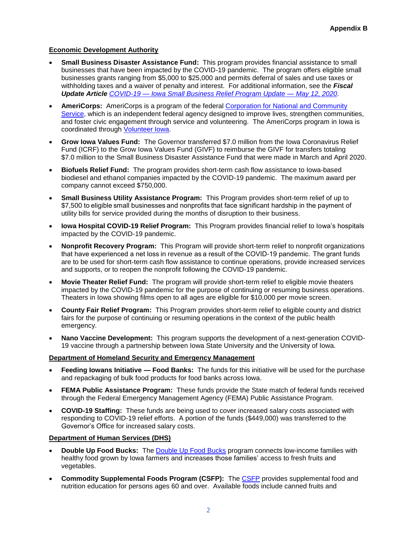### **Economic Development Authority**

- **Small Business Disaster Assistance Fund:** This program provides financial assistance to small businesses that have been impacted by the COVID-19 pandemic. The program offers eligible small businesses grants ranging from \$5,000 to \$25,000 and permits deferral of sales and use taxes or withholding taxes and a waiver of penalty and interest. For additional information, see the *Fiscal Update Article COVID-19 — [Iowa Small Business Relief Program Update —](https://www.legis.iowa.gov/docs/publications/BL/1136287.pdf) May 12, 2020*.
- **AmeriCorps:** AmeriCorps is a program of the federal [Corporation for National and Community](https://www.nationalservice.gov/)  [Service,](https://www.nationalservice.gov/) which is an independent federal agency designed to improve lives, strengthen communities, and foster civic engagement through service and volunteering. The AmeriCorps program in Iowa is coordinated through [Volunteer Iowa.](https://www.legis.iowa.gov/docs/publications/BL/1136431.pdf)
- **Grow Iowa Values Fund:** The Governor transferred \$7.0 million from the Iowa Coronavirus Relief Fund (ICRF) to the Grow Iowa Values Fund (GIVF) to reimburse the GIVF for transfers totaling \$7.0 million to the Small Business Disaster Assistance Fund that were made in March and April 2020.
- **Biofuels Relief Fund:** The program provides short-term cash flow assistance to Iowa-based biodiesel and ethanol companies impacted by the COVID-19 pandemic. The maximum award per company cannot exceed \$750,000.
- **Small Business Utility Assistance Program:** This Program provides short-term relief of up to \$7,500 to eligible small businesses and nonprofits that face significant hardship in the payment of utility bills for service provided during the months of disruption to their business.
- **Iowa Hospital COVID-19 Relief Program:** This Program provides financial relief to Iowa's hospitals impacted by the COVID-19 pandemic.
- **Nonprofit Recovery Program:** This Program will provide short-term relief to nonprofit organizations that have experienced a net loss in revenue as a result of the COVID-19 pandemic.  The grant funds are to be used for short-term cash flow assistance to continue operations, provide increased services and supports, or to reopen the nonprofit following the COVID-19 pandemic.
- **Movie Theater Relief Fund:** The program will provide short-term relief to eligible movie theaters impacted by the COVID-19 pandemic for the purpose of continuing or resuming business operations. Theaters in Iowa showing films open to all ages are eligible for \$10,000 per movie screen.
- **County Fair Relief Program:** This Program provides short-term relief to eligible county and district fairs for the purpose of continuing or resuming operations in the context of the public health emergency.
- **Nano Vaccine Development:** This program supports the development of a next-generation COVID-19 vaccine through a partnership between Iowa State University and the University of Iowa.

### **Department of Homeland Security and Emergency Management**

- **Feeding Iowans Initiative — Food Banks:** The funds for this initiative will be used for the purchase and repackaging of bulk food products for food banks across Iowa.
- **FEMA Public Assistance Program:** These funds provide the State match of federal funds received through the Federal Emergency Management Agency (FEMA) Public Assistance Program.
- **COVID-19 Staffing:** These funds are being used to cover increased salary costs associated with responding to COVID-19 relief efforts. A portion of the funds (\$449,000) was transferred to the Governor's Office for increased salary costs.

### **Department of Human Services (DHS)**

- **Double Up Food Bucks:** The [Double Up Food Bucks](http://www.iowahealthieststate.com/resources/communities/double-up-food-bucks/) program connects low-income families with healthy food grown by Iowa farmers and increases those families' access to fresh fruits and vegetables.
- **Commodity Supplemental Foods Program (CSFP):** The [CSFP](https://dhs.iowa.gov/food-assistance/related-programs/commodity-program) provides supplemental food and nutrition education for persons ages 60 and over. Available foods include canned fruits and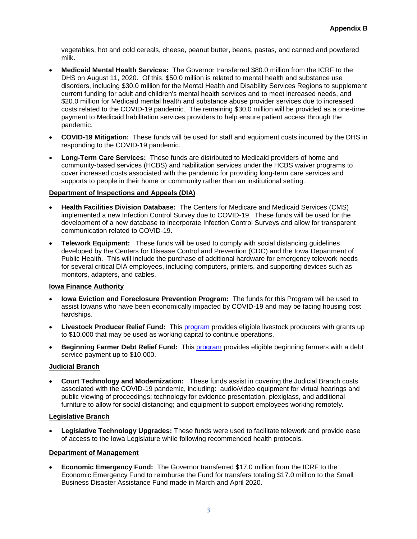vegetables, hot and cold cereals, cheese, peanut butter, beans, pastas, and canned and powdered milk.

- **Medicaid Mental Health Services:** The Governor transferred \$80.0 million from the ICRF to the DHS on August 11, 2020. Of this, \$50.0 million is related to mental health and substance use disorders, including \$30.0 million for the Mental Health and Disability Services Regions to supplement current funding for adult and children's mental health services and to meet increased needs, and \$20.0 million for Medicaid mental health and substance abuse provider services due to increased costs related to the COVID-19 pandemic. The remaining \$30.0 million will be provided as a one-time payment to Medicaid habilitation services providers to help ensure patient access through the pandemic.
- **COVID-19 Mitigation:** These funds will be used for staff and equipment costs incurred by the DHS in responding to the COVID-19 pandemic.
- **Long-Term Care Services:** These funds are distributed to Medicaid providers of home and community-based services (HCBS) and habilitation services under the HCBS waiver programs to cover increased costs associated with the pandemic for providing long-term care services and supports to people in their home or community rather than an institutional setting.

### **Department of Inspections and Appeals (DIA)**

- **Health Facilities Division Database:** The Centers for Medicare and Medicaid Services (CMS) implemented a new Infection Control Survey due to COVID-19. These funds will be used for the development of a new database to incorporate Infection Control Surveys and allow for transparent communication related to COVID-19.
- **Telework Equipment:** These funds will be used to comply with social distancing guidelines developed by the Centers for Disease Control and Prevention (CDC) and the Iowa Department of Public Health. This will include the purchase of additional hardware for emergency telework needs for several critical DIA employees, including computers, printers, and supporting devices such as monitors, adapters, and cables.

### **Iowa Finance Authority**

- **Iowa Eviction and Foreclosure Prevention Program:** The funds for this Program will be used to assist Iowans who have been economically impacted by COVID-19 and may be facing housing cost hardships.
- **Livestock Producer Relief Fund:** This [program](https://www.iowaeconomicdevelopment.com/ag-relief#beginningfarmer) provides eligible livestock producers with grants up to \$10,000 that may be used as working capital to continue operations.
- **Beginning Farmer Debt Relief Fund:** This [program](https://www.iowaeconomicdevelopment.com/ag-relief#beginningfarmer) provides eligible beginning farmers with a debt service payment up to \$10,000.

### **Judicial Branch**

• **Court Technology and Modernization:** These funds assist in covering the Judicial Branch costs associated with the COVID-19 pandemic, including: audio/video equipment for virtual hearings and public viewing of proceedings; technology for evidence presentation, plexiglass, and additional furniture to allow for social distancing; and equipment to support employees working remotely.

### **Legislative Branch**

• **Legislative Technology Upgrades:** These funds were used to facilitate telework and provide ease of access to the Iowa Legislature while following recommended health protocols.

### **Department of Management**

• **Economic Emergency Fund:** The Governor transferred \$17.0 million from the ICRF to the Economic Emergency Fund to reimburse the Fund for transfers totaling \$17.0 million to the Small Business Disaster Assistance Fund made in March and April 2020.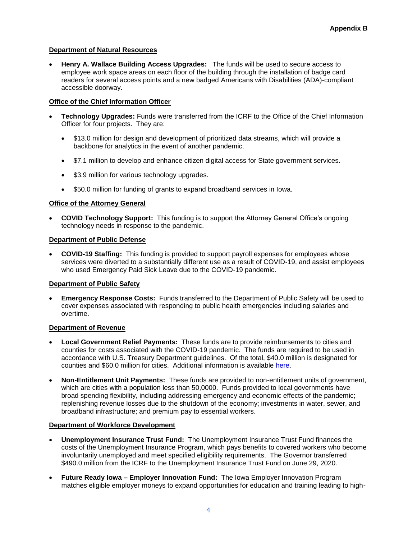### **Department of Natural Resources**

• **Henry A. Wallace Building Access Upgrades:** The funds will be used to secure access to employee work space areas on each floor of the building through the installation of badge card readers for several access points and a new badged Americans with Disabilities (ADA)-compliant accessible doorway.

### **Office of the Chief Information Officer**

- **Technology Upgrades:** Funds were transferred from the ICRF to the Office of the Chief Information Officer for four projects. They are:
	- \$13.0 million for design and development of prioritized data streams, which will provide a backbone for analytics in the event of another pandemic.
	- \$7.1 million to develop and enhance citizen digital access for State government services.
	- \$3.9 million for various technology upgrades.
	- \$50.0 million for funding of grants to expand broadband services in Iowa.

### **Office of the Attorney General**

• **COVID Technology Support:** This funding is to support the Attorney General Office's ongoing technology needs in response to the pandemic.

### **Department of Public Defense**

• **COVID-19 Staffing:** This funding is provided to support payroll expenses for employees whose services were diverted to a substantially different use as a result of COVID-19, and assist employees who used Emergency Paid Sick Leave due to the COVID-19 pandemic.

## **Department of Public Safety**

• **Emergency Response Costs:** Funds transferred to the Department of Public Safety will be used to cover expenses associated with responding to public health emergencies including salaries and overtime.

### **Department of Revenue**

- **Local Government Relief Payments:** These funds are to provide reimbursements to cities and counties for costs associated with the COVID-19 pandemic. The funds are required to be used in accordance with U.S. Treasury Department guidelines. Of the total, \$40.0 million is designated for counties and \$60.0 million for cities. Additional information is available [here.](https://coronavirus.iowa.gov/pages/local-reimbursement)
- **Non-Entitlement Unit Payments:** These funds are provided to non-entitlement units of government, which are cities with a population less than 50,0000. Funds provided to local governments have broad spending flexibility, including addressing emergency and economic effects of the pandemic; replenishing revenue losses due to the shutdown of the economy; investments in water, sewer, and broadband infrastructure; and premium pay to essential workers.

### **Department of Workforce Development**

- **Unemployment Insurance Trust Fund:** The Unemployment Insurance Trust Fund finances the costs of the Unemployment Insurance Program, which pays benefits to covered workers who become involuntarily unemployed and meet specified eligibility requirements. The Governor transferred \$490.0 million from the ICRF to the Unemployment Insurance Trust Fund on June 29, 2020.
- **Future Ready Iowa – Employer Innovation Fund:** The Iowa Employer Innovation Program matches eligible employer moneys to expand opportunities for education and training leading to high-